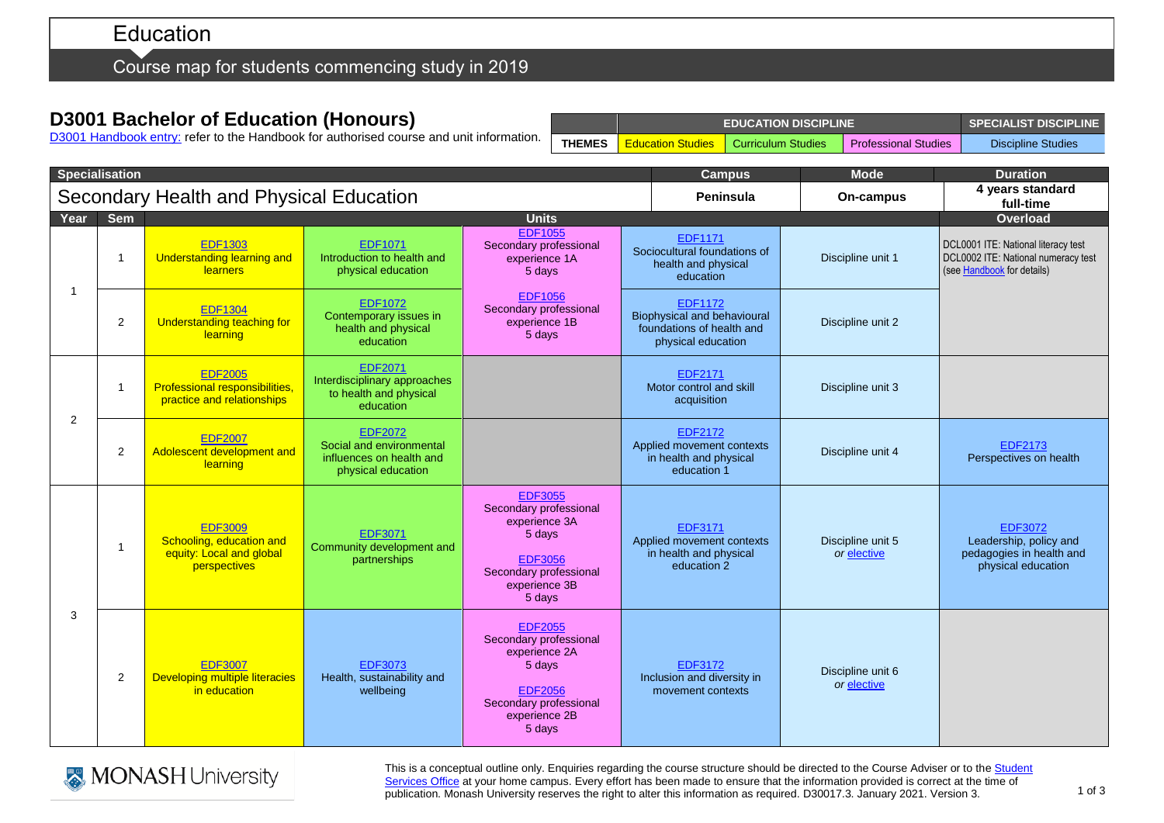# Education

Course map for students commencing study in 2019

## **D3001 Bachelor of Education (Honours)**

D3001 [Handbook entry:](http://www.monash.edu.au/pubs/2019handbooks/courses/D3001.html) refer to the Handbook for authorised course and unit information.

|               | <b>EDUCATION DISCIPLINE</b>                   | SPECIALIST DISCIPLINE |                             |                    |
|---------------|-----------------------------------------------|-----------------------|-----------------------------|--------------------|
| <b>THEMES</b> | <b>Education Studies   Curriculum Studies</b> |                       | <b>Professional Studies</b> | Discipline Studies |

| <b>Specialisation</b>                   |                |                                                                                        |                                                                                              | <b>Campus</b>                                                                                                                              | <b>Mode</b>                                                                                             | <b>Duration</b>                  |                                                                                                          |
|-----------------------------------------|----------------|----------------------------------------------------------------------------------------|----------------------------------------------------------------------------------------------|--------------------------------------------------------------------------------------------------------------------------------------------|---------------------------------------------------------------------------------------------------------|----------------------------------|----------------------------------------------------------------------------------------------------------|
| Secondary Health and Physical Education |                |                                                                                        |                                                                                              | Peninsula                                                                                                                                  | On-campus                                                                                               | 4 years standard<br>full-time    |                                                                                                          |
| Year                                    | <b>Sem</b>     | <b>Units</b>                                                                           |                                                                                              |                                                                                                                                            |                                                                                                         |                                  | <b>Overload</b>                                                                                          |
| -1                                      | $\mathbf{1}$   | <b>EDF1303</b><br>Understanding learning and<br><b>learners</b>                        | <b>EDF1071</b><br>Introduction to health and<br>physical education                           | <b>EDF1055</b><br>Secondary professional<br>experience 1A<br>5 days                                                                        | EDF1171<br>Sociocultural foundations of<br>health and physical<br>education                             | Discipline unit 1                | DCL0001 ITE: National literacy test<br>DCL0002 ITE: National numeracy test<br>(see Handbook for details) |
|                                         | 2              | <b>EDF1304</b><br>Understanding teaching for<br>learning                               | <b>EDF1072</b><br>Contemporary issues in<br>health and physical<br>education                 | <b>EDF1056</b><br>Secondary professional<br>experience 1B<br>5 days                                                                        | <b>EDF1172</b><br><b>Biophysical and behavioural</b><br>foundations of health and<br>physical education | Discipline unit 2                |                                                                                                          |
| 2                                       | 1              | <b>EDF2005</b><br>Professional responsibilities,<br>practice and relationships         | <b>EDF2071</b><br>Interdisciplinary approaches<br>to health and physical<br>education        |                                                                                                                                            | EDF2171<br>Motor control and skill<br>acquisition                                                       | Discipline unit 3                |                                                                                                          |
|                                         | 2              | <b>EDF2007</b><br>Adolescent development and<br>learning                               | <b>EDF2072</b><br>Social and environmental<br>influences on health and<br>physical education |                                                                                                                                            | <b>EDF2172</b><br>Applied movement contexts<br>in health and physical<br>education 1                    | Discipline unit 4                | EDF2173<br>Perspectives on health                                                                        |
| 3                                       | $\overline{1}$ | <b>EDF3009</b><br>Schooling, education and<br>equity: Local and global<br>perspectives | <b>EDF3071</b><br>Community development and<br>partnerships                                  | <b>EDF3055</b><br>Secondary professional<br>experience 3A<br>5 days<br><b>EDF3056</b><br>Secondary professional<br>experience 3B<br>5 days | <b>EDF3171</b><br>Applied movement contexts<br>in health and physical<br>education 2                    | Discipline unit 5<br>or elective | EDF3072<br>Leadership, policy and<br>pedagogies in health and<br>physical education                      |
|                                         | 2              | <b>EDF3007</b><br>Developing multiple literacies<br>in education                       | <b>EDF3073</b><br>Health, sustainability and<br>wellbeing                                    | <b>EDF2055</b><br>Secondary professional<br>experience 2A<br>5 days<br><b>EDF2056</b><br>Secondary professional<br>experience 2B<br>5 days | <b>EDF3172</b><br>Inclusion and diversity in<br>movement contexts                                       | Discipline unit 6<br>or elective |                                                                                                          |



This is a conceptual outline only. Enquiries regarding the course structure should be directed to the Course Adviser or to the Student [Services Office](https://www.monash.edu/education/current-students/contact) at your home campus. Every effort has been made to ensure that the information provided is correct at the time of publication. Monash University reserves the right to alter this information as required. D30017.3. January 2021. Version 3.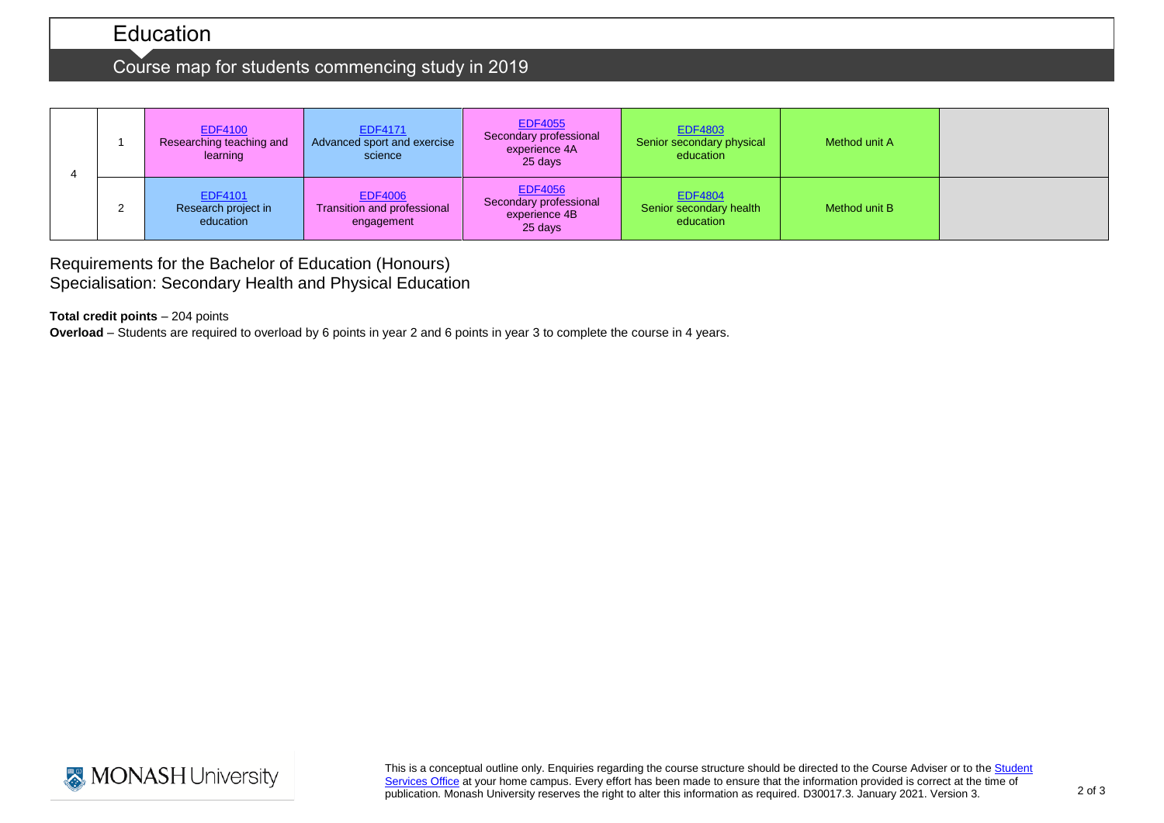# Education

# Course map for students commencing study in 2019

|  | <b>EDF4100</b><br>Researching teaching and<br>learning | <b>EDF4171</b><br>Advanced sport and exercise<br>science    | <b>EDF4055</b><br>Secondary professional<br>experience 4A<br>25 days | <b>EDF4803</b><br>Senior secondary physical<br>education | Method unit A |  |
|--|--------------------------------------------------------|-------------------------------------------------------------|----------------------------------------------------------------------|----------------------------------------------------------|---------------|--|
|  | <b>EDF4101</b><br>Research project in<br>education     | <b>EDF4006</b><br>Transition and professional<br>engagement | <b>EDF4056</b><br>Secondary professional<br>experience 4B<br>25 days | <b>EDF4804</b><br>Senior secondary health<br>education   | Method unit B |  |

Requirements for the Bachelor of Education (Honours) Specialisation: Secondary Health and Physical Education

**Total credit points** – 204 points

**Overload** – Students are required to overload by 6 points in year 2 and 6 points in year 3 to complete the course in 4 years.



This is a conceptual outline only. Enquiries regarding the course structure should be directed to the Course Adviser or to the Student [Services Office](https://www.monash.edu/education/current-students/contact) at your home campus. Every effort has been made to ensure that the information provided is correct at the time of publication. Monash University reserves the right to alter this information as required. D30017.3. January 2021. Version 3.